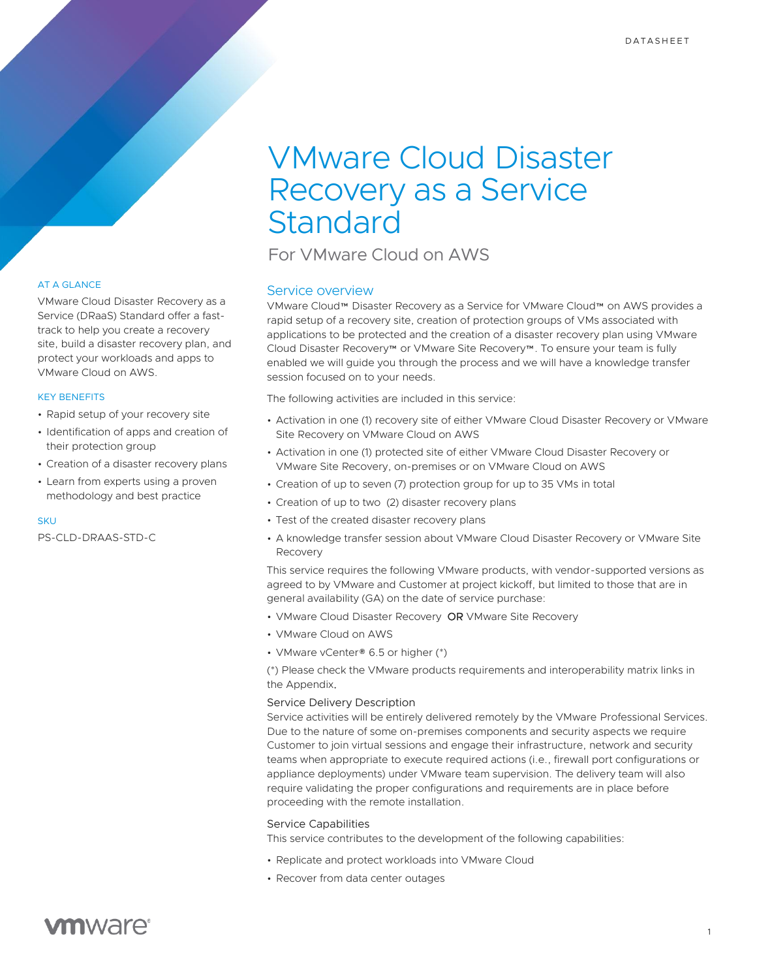# VMware Cloud Disaster Recovery as a Service **Standard**

For VMware Cloud on AWS

# Service overview

VMware Cloud™ Disaster Recovery as a Service for VMware Cloud™ on AWS provides a rapid setup of a recovery site, creation of protection groups of VMs associated with applications to be protected and the creation of a disaster recovery plan using VMware Cloud Disaster Recovery™ or VMware Site Recovery™. To ensure your team is fully enabled we will guide you through the process and we will have a knowledge transfer session focused on to your needs.

The following activities are included in this service:

- Activation in one (1) recovery site of either VMware Cloud Disaster Recovery or VMware Site Recovery on VMware Cloud on AWS
- Activation in one (1) protected site of either VMware Cloud Disaster Recovery or VMware Site Recovery, on-premises or on VMware Cloud on AWS
- Creation of up to seven (7) protection group for up to 35 VMs in total
- Creation of up to two (2) disaster recovery plans
- Test of the created disaster recovery plans
- A knowledge transfer session about VMware Cloud Disaster Recovery or VMware Site Recovery

This service requires the following VMware products, with vendor-supported versions as agreed to by VMware and Customer at project kickoff, but limited to those that are in general availability (GA) on the date of service purchase:

- VMware Cloud Disaster Recovery OR VMware Site Recovery
- VMware Cloud on AWS
- VMware vCenter® 6.5 or higher (\*)

(\*) Please check the VMware products requirements and interoperability matrix links in the Appendix.

### Service Delivery Description

Service activities will be entirely delivered remotely by the VMware Professional Services. Due to the nature of some on-premises components and security aspects we require Customer to join virtual sessions and engage their infrastructure, network and security teams when appropriate to execute required actions (i.e., firewall port configurations or appliance deployments) under VMware team supervision. The delivery team will also require validating the proper configurations and requirements are in place before proceeding with the remote installation.

### Service Capabilities

This service contributes to the development of the following capabilities:

- Replicate and protect workloads into VMware Cloud
- Recover from data center outages

# AT A GLANCE

VMware Cloud Disaster Recovery as a Service (DRaaS) Standard offer a fasttrack to help you create a recovery site, build a disaster recovery plan, and protect your workloads and apps to VMware Cloud on AWS.

# KEY BENEFITS

- Rapid setup of your recovery site
- Identification of apps and creation of their protection group
- Creation of a disaster recovery plans
- Learn from experts using a proven methodology and best practice

#### **SKU**

PS-CLD-DRAAS-STD-C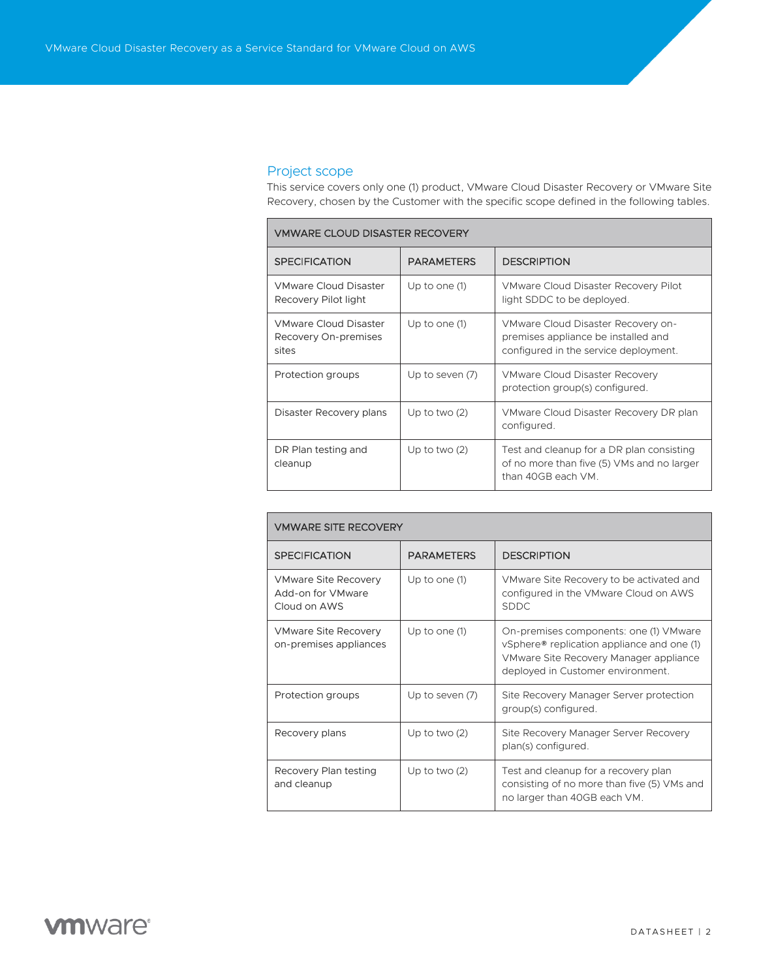# Project scope

This service covers only one (1) product, VMware Cloud Disaster Recovery or VMware Site Recovery, chosen by the Customer with the specific scope defined in the following tables.

## VMWARE CLOUD DISASTER RECOVERY

| <b>SPECIFICATION</b>                                          | <b>PARAMETERS</b> | <b>DESCRIPTION</b>                                                                                                 |  |  |
|---------------------------------------------------------------|-------------------|--------------------------------------------------------------------------------------------------------------------|--|--|
| <b>VMware Cloud Disaster</b><br>Recovery Pilot light          | Up to one $(1)$   | VMware Cloud Disaster Recovery Pilot<br>light SDDC to be deployed.                                                 |  |  |
| <b>VMware Cloud Disaster</b><br>Recovery On-premises<br>sites | Up to one (1)     | VMware Cloud Disaster Recovery on-<br>premises appliance be installed and<br>configured in the service deployment. |  |  |
| Protection groups                                             | Up to seven (7)   | VMware Cloud Disaster Recovery<br>protection group(s) configured.                                                  |  |  |
| Disaster Recovery plans                                       | Up to two $(2)$   | VMware Cloud Disaster Recovery DR plan<br>configured.                                                              |  |  |
| DR Plan testing and<br>cleanup                                | Up to two $(2)$   | Test and cleanup for a DR plan consisting<br>of no more than five (5) VMs and no larger<br>than 40GB each VM.      |  |  |

| <b><i>VMWARE SITE RECOVERY</i></b>                               |                   |                                                                                                                                                                     |  |  |
|------------------------------------------------------------------|-------------------|---------------------------------------------------------------------------------------------------------------------------------------------------------------------|--|--|
| <b>SPECIFICATION</b>                                             | <b>PARAMETERS</b> | <b>DESCRIPTION</b>                                                                                                                                                  |  |  |
| <b>VMware Site Recovery</b><br>Add-on for VMware<br>Cloud on AWS | Up to one $(1)$   | VMware Site Recovery to be activated and<br>configured in the VMware Cloud on AWS<br><b>SDDC</b>                                                                    |  |  |
| <b>VMware Site Recovery</b><br>on-premises appliances            | Up to one (1)     | On-premises components: one (1) VMware<br>vSphere® replication appliance and one (1)<br>VMware Site Recovery Manager appliance<br>deployed in Customer environment. |  |  |
| Protection groups                                                | Up to seven (7)   | Site Recovery Manager Server protection<br>group(s) configured.                                                                                                     |  |  |
| Recovery plans                                                   | Up to two $(2)$   | Site Recovery Manager Server Recovery<br>plan(s) configured.                                                                                                        |  |  |
| Recovery Plan testing<br>and cleanup                             | Up to two $(2)$   | Test and cleanup for a recovery plan<br>consisting of no more than five (5) VMs and<br>no larger than 40GB each VM.                                                 |  |  |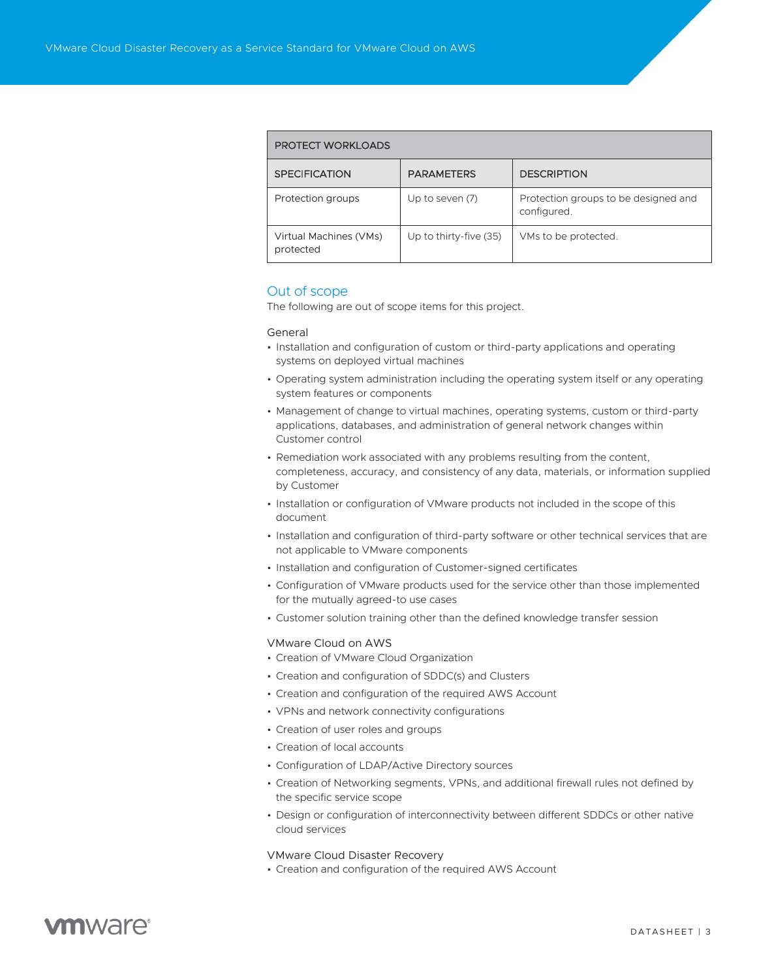#### PROTECT WORKLOADS

| <b>SPECIFICATION</b>                | <b>PARAMETERS</b>      | <b>DESCRIPTION</b>                                  |  |  |
|-------------------------------------|------------------------|-----------------------------------------------------|--|--|
| Protection groups                   | Up to seven (7)        | Protection groups to be designed and<br>configured. |  |  |
| Virtual Machines (VMs)<br>protected | Up to thirty-five (35) | VMs to be protected.                                |  |  |

### Out of scope

The following are out of scope items for this project.

#### General

- Installation and configuration of custom or third-party applications and operating systems on deployed virtual machines
- Operating system administration including the operating system itself or any operating system features or components
- Management of change to virtual machines, operating systems, custom or third-party applications, databases, and administration of general network changes within Customer control
- Remediation work associated with any problems resulting from the content, completeness, accuracy, and consistency of any data, materials, or information supplied by Customer
- Installation or configuration of VMware products not included in the scope of this document
- Installation and configuration of third-party software or other technical services that are not applicable to VMware components
- Installation and configuration of Customer-signed certificates
- Configuration of VMware products used for the service other than those implemented for the mutually agreed-to use cases
- Customer solution training other than the defined knowledge transfer session

#### VMware Cloud on AWS

- Creation of VMware Cloud Organization
- Creation and configuration of SDDC(s) and Clusters
- Creation and configuration of the required AWS Account
- VPNs and network connectivity configurations
- Creation of user roles and groups
- Creation of local accounts
- Configuration of LDAP/Active Directory sources
- Creation of Networking segments, VPNs, and additional firewall rules not defined by the specific service scope
- Design or configuration of interconnectivity between different SDDCs or other native cloud services

#### VMware Cloud Disaster Recovery

• Creation and configuration of the required AWS Account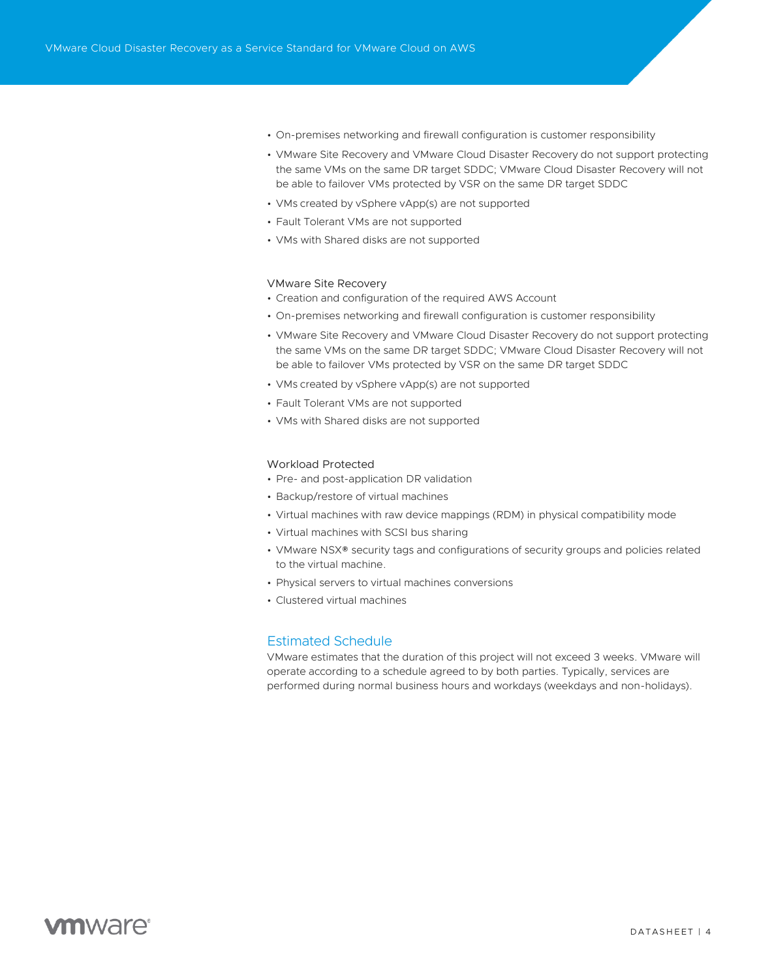- On-premises networking and firewall configuration is customer responsibility
- VMware Site Recovery and VMware Cloud Disaster Recovery do not support protecting the same VMs on the same DR target SDDC; VMware Cloud Disaster Recovery will not be able to failover VMs protected by VSR on the same DR target SDDC
- VMs created by vSphere vApp(s) are not supported
- Fault Tolerant VMs are not supported
- VMs with Shared disks are not supported

#### VMware Site Recovery

- Creation and configuration of the required AWS Account
- On-premises networking and firewall configuration is customer responsibility
- VMware Site Recovery and VMware Cloud Disaster Recovery do not support protecting the same VMs on the same DR target SDDC; VMware Cloud Disaster Recovery will not be able to failover VMs protected by VSR on the same DR target SDDC
- VMs created by vSphere vApp(s) are not supported
- Fault Tolerant VMs are not supported
- VMs with Shared disks are not supported

#### Workload Protected

- Pre- and post-application DR validation
- Backup/restore of virtual machines
- Virtual machines with raw device mappings (RDM) in physical compatibility mode
- Virtual machines with SCSI bus sharing
- VMware NSX® security tags and configurations of security groups and policies related to the virtual machine.
- Physical servers to virtual machines conversions
- Clustered virtual machines

#### Estimated Schedule

VMware estimates that the duration of this project will not exceed 3 weeks. VMware will operate according to a schedule agreed to by both parties. Typically, services are performed during normal business hours and workdays (weekdays and non-holidays).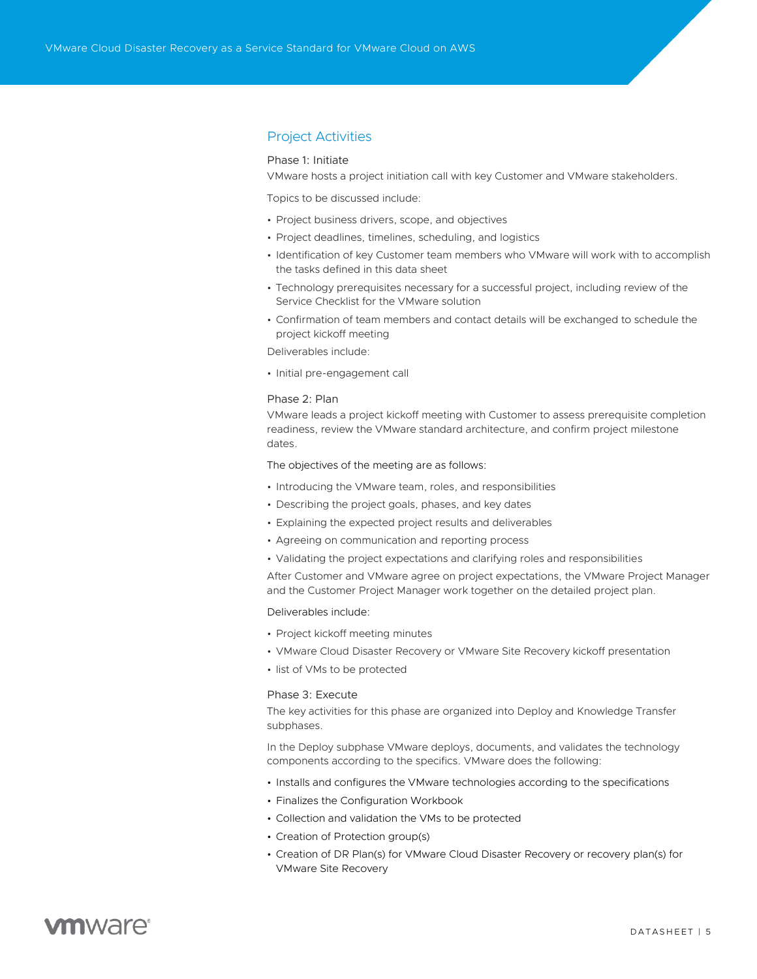### Project Activities

#### Phase 1: Initiate

VMware hosts a project initiation call with key Customer and VMware stakeholders.

Topics to be discussed include:

- Project business drivers, scope, and objectives
- Project deadlines, timelines, scheduling, and logistics
- Identification of key Customer team members who VMware will work with to accomplish the tasks defined in this data sheet
- Technology prerequisites necessary for a successful project, including review of the Service Checklist for the VMware solution
- Confirmation of team members and contact details will be exchanged to schedule the project kickoff meeting

Deliverables include:

• Initial pre-engagement call

#### Phase 2: Plan

VMware leads a project kickoff meeting with Customer to assess prerequisite completion readiness, review the VMware standard architecture, and confirm project milestone dates.

The objectives of the meeting are as follows:

- Introducing the VMware team, roles, and responsibilities
- Describing the project goals, phases, and key dates
- Explaining the expected project results and deliverables
- Agreeing on communication and reporting process
- Validating the project expectations and clarifying roles and responsibilities

After Customer and VMware agree on project expectations, the VMware Project Manager and the Customer Project Manager work together on the detailed project plan.

Deliverables include:

- Project kickoff meeting minutes
- VMware Cloud Disaster Recovery or VMware Site Recovery kickoff presentation
- list of VMs to be protected

#### Phase 3: Execute

The key activities for this phase are organized into Deploy and Knowledge Transfer subphases.

In the Deploy subphase VMware deploys, documents, and validates the technology components according to the specifics. VMware does the following:

- Installs and configures the VMware technologies according to the specifications
- Finalizes the Configuration Workbook
- Collection and validation the VMs to be protected
- Creation of Protection group(s)
- Creation of DR Plan(s) for VMware Cloud Disaster Recovery or recovery plan(s) for VMware Site Recovery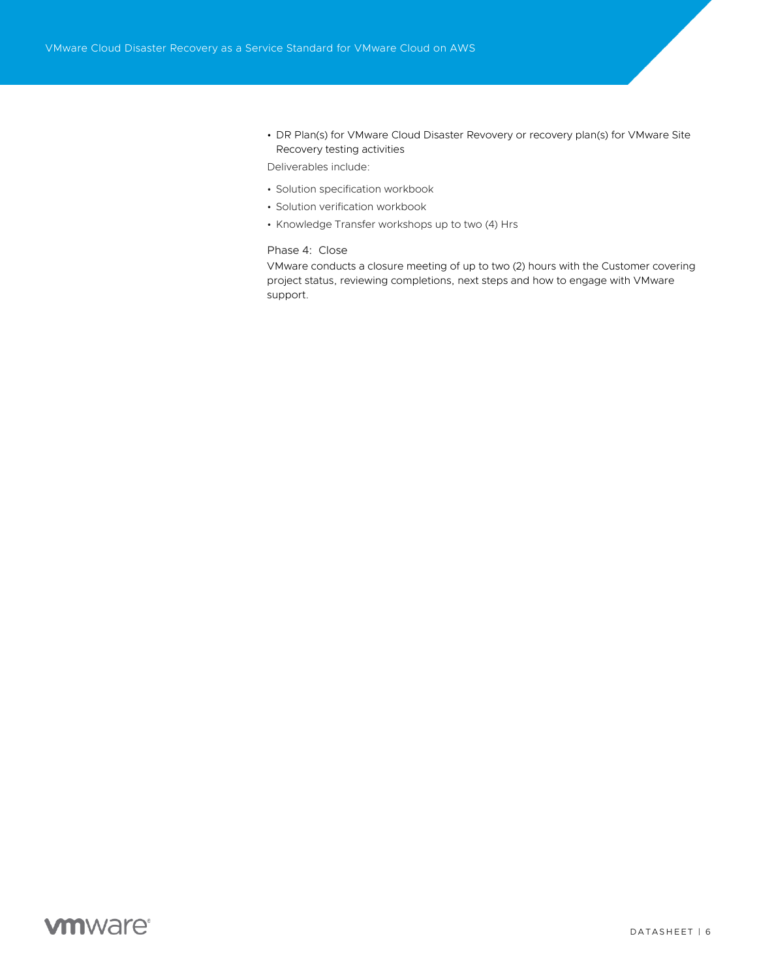• DR Plan(s) for VMware Cloud Disaster Revovery or recovery plan(s) for VMware Site Recovery testing activities

Deliverables include:

- Solution specification workbook
- Solution verification workbook
- Knowledge Transfer workshops up to two (4) Hrs

### Phase 4: Close

VMware conducts a closure meeting of up to two (2) hours with the Customer covering project status, reviewing completions, next steps and how to engage with VMware support.

# **vmware**®